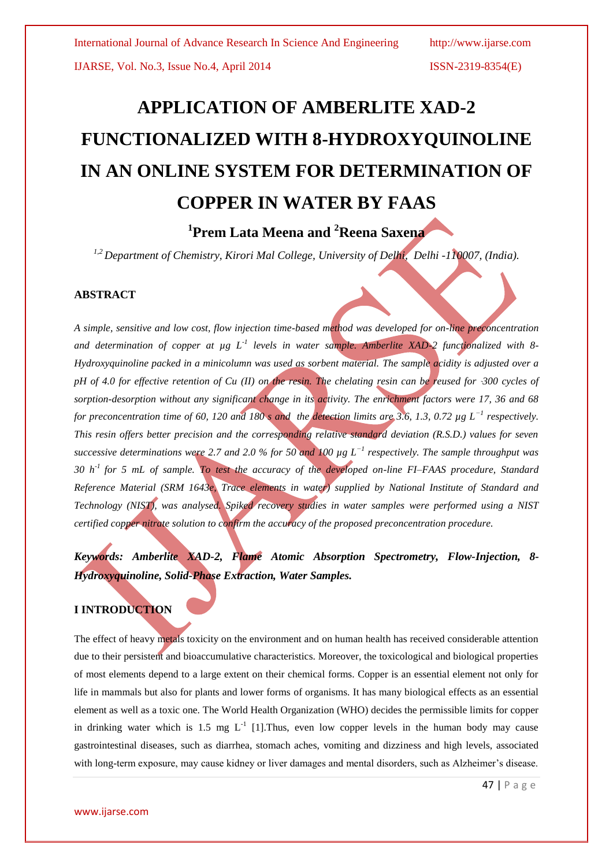# **APPLICATION OF AMBERLITE XAD-2 FUNCTIONALIZED WITH 8-HYDROXYQUINOLINE IN AN ONLINE SYSTEM FOR DETERMINATION OF COPPER IN WATER BY FAAS**

## **1 Prem Lata Meena and <sup>2</sup>Reena Saxena**

*1,2 Department of Chemistry, Kirori Mal College, University of Delhi, Delhi -110007, (India).*

#### **ABSTRACT**

*A simple, sensitive and low cost, flow injection time-based method was developed for on-line preconcentration and determination of copper at µg L-1 levels in water sample. Amberlite XAD-2 functionalized with 8- Hydroxyquinoline packed in a minicolumn was used as sorbent material. The sample acidity is adjusted over a pH of 4.0 for effective retention of Cu (II) on the resin. The chelating resin can be reused for 300 cycles of sorption-desorption without any significant change in its activity. The enrichment factors were 17, 36 and 68 for preconcentration time of 60, 120 and 180 s and the detection limits are 3.6, 1.3, 0.72 µg L−1 respectively. This resin offers better precision and the corresponding relative standard deviation (R.S.D.) values for seven successive determinations were 2.7 and 2.0 % for 50 and 100 µg L−1 respectively. The sample throughput was 30 h-1 for 5 mL of sample. To test the accuracy of the developed on-line FI–FAAS procedure, Standard Reference Material (SRM 1643e, Trace elements in water) supplied by National Institute of Standard and Technology (NIST), was analysed. Spiked recovery studies in water samples were performed using a NIST certified copper nitrate solution to confirm the accuracy of the proposed preconcentration procedure.*

*Keywords: Amberlite XAD-2, Flame Atomic Absorption Spectrometry, Flow-Injection, 8- Hydroxyquinoline, Solid-Phase Extraction, Water Samples.*

### **I INTRODUCTION**

The effect of heavy metals toxicity on the environment and on human health has received considerable attention due to their persistent and bioaccumulative characteristics. Moreover, the toxicological and biological properties of most elements depend to a large extent on their chemical forms. Copper is an essential element not only for life in mammals but also for plants and lower forms of organisms. It has many biological effects as an essential element as well as a toxic one. The World Health Organization (WHO) decides the permissible limits for copper in drinking water which is 1.5 mg  $L^{-1}$  [1]. Thus, even low copper levels in the human body may cause gastrointestinal diseases, such as diarrhea, stomach aches, vomiting and dizziness and high levels, associated with long-term exposure, may cause kidney or liver damages and mental disorders, such as Alzheimer's disease.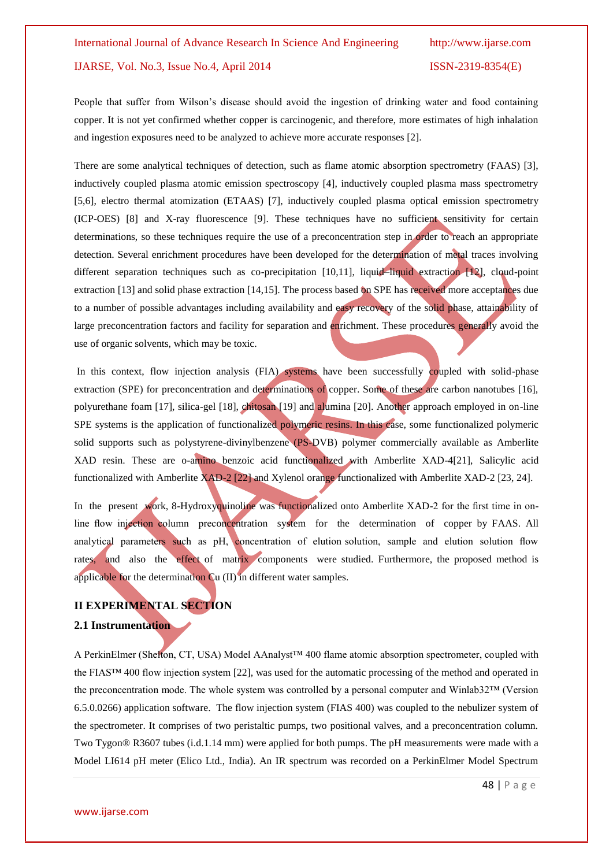People that suffer from Wilson's disease should avoid the ingestion of drinking water and food containing copper. It is not yet confirmed whether copper is carcinogenic, and therefore, more estimates of high inhalation and ingestion exposures need to be analyzed to achieve more accurate responses [2].

There are some analytical techniques of detection, such as flame atomic absorption spectrometry (FAAS) [3], inductively coupled plasma atomic emission spectroscopy [4], inductively coupled plasma mass spectrometry [5,6], electro thermal atomization (ETAAS) [7], inductively coupled plasma optical emission spectrometry (ICP-OES) [8] and X-ray fluorescence [9]. These techniques have no sufficient sensitivity for certain determinations, so these techniques require the use of a preconcentration step in order to reach an appropriate detection. Several enrichment procedures have been developed for the determination of metal traces involving different separation techniques such as co-precipitation [10,11], liquid–liquid extraction [12], cloud-point extraction [13] and solid phase extraction [14,15]. The process based on SPE has received more acceptances due to a number of possible advantages including availability and easy recovery of the solid phase, attainability of large preconcentration factors and facility for separation and enrichment. These procedures generally avoid the use of organic solvents, which may be toxic.

In this context, flow injection analysis (FIA) systems have been successfully coupled with solid-phase extraction (SPE) for preconcentration and determinations of copper. Some of these are carbon nanotubes [16], polyurethane foam [17], silica-gel [18], chitosan [19] and alumina [20]. Another approach employed in on-line SPE systems is the application of functionalized polymeric resins. In this case, some functionalized polymeric solid supports such as polystyrene-divinylbenzene (PS-DVB) polymer commercially available as Amberlite XAD resin. These are o-amino benzoic acid functionalized with Amberlite XAD-4[21], Salicylic acid functionalized with Amberlite XAD-2 [22] and Xylenol orange functionalized with Amberlite XAD-2 [23, 24].

In the present work, 8-Hydroxyquinoline was functionalized onto Amberlite XAD-2 for the first time in online flow injection column preconcentration system for the determination of copper by FAAS. All analytical parameters such as pH, concentration of elution solution, sample and elution solution flow rates, and also the effect of matrix components were studied. Furthermore, the proposed method is applicable for the determination Cu (II) in different water samples.

#### **II EXPERIMENTAL SECTION**

#### **2.1 Instrumentation**

A PerkinElmer (Shelton, CT, USA) Model AAnalyst™ 400 flame atomic absorption spectrometer, coupled with the FIAS™ 400 flow injection system [22], was used for the automatic processing of the method and operated in the preconcentration mode. The whole system was controlled by a personal computer and Winlab32™ (Version 6.5.0.0266) application software. The flow injection system (FIAS 400) was coupled to the nebulizer system of the spectrometer. It comprises of two peristaltic pumps, two positional valves, and a preconcentration column. Two Tygon® R3607 tubes (i.d.1.14 mm) were applied for both pumps. The pH measurements were made with a Model LI614 pH meter (Elico Ltd., India). An IR spectrum was recorded on a PerkinElmer Model Spectrum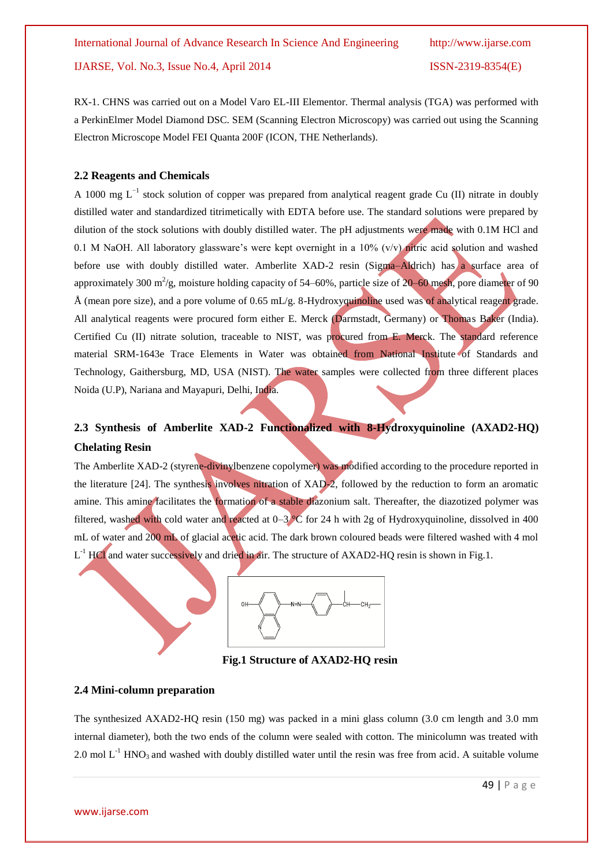RX-1. CHNS was carried out on a Model Varo EL-III Elementor. Thermal analysis (TGA) was performed with a PerkinElmer Model Diamond DSC. SEM (Scanning Electron Microscopy) was carried out using the Scanning Electron Microscope Model FEI Quanta 200F (ICON, THE Netherlands).

#### **2.2 Reagents and Chemicals**

A 1000 mg L<sup>-1</sup> stock solution of copper was prepared from analytical reagent grade Cu (II) nitrate in doubly distilled water and standardized titrimetically with EDTA before use. The standard solutions were prepared by dilution of the stock solutions with doubly distilled water. The pH adjustments were made with 0.1M HCl and 0.1 M NaOH. All laboratory glassware's were kept overnight in a  $10\%$  (v/v) nitric acid solution and washed before use with doubly distilled water. Amberlite XAD-2 resin (Sigma–Aldrich) has a surface area of approximately 300 m<sup>2</sup>/g, moisture holding capacity of 54–60%, particle size of  $20$ –60 mesh, pore diameter of 90 Å (mean pore size), and a pore volume of 0.65 mL/g. 8-Hydroxyquinoline used was of analytical reagent grade. All analytical reagents were procured form either E. Merck (Darmstadt, Germany) or Thomas Baker (India). Certified Cu (II) nitrate solution, traceable to NIST, was procured from E. Merck. The standard reference material SRM-1643e Trace Elements in Water was obtained from National Institute of Standards and Technology, Gaithersburg, MD, USA (NIST). The water samples were collected from three different places Noida (U.P), Nariana and Mayapuri, Delhi, India.

## **2.3 Synthesis of Amberlite XAD-2 Functionalized with 8-Hydroxyquinoline (AXAD2-HQ) Chelating Resin**

The Amberlite XAD-2 (styrene-divinylbenzene copolymer) was modified according to the procedure reported in the literature [24]. The synthesis involves nitration of XAD-2, followed by the reduction to form an aromatic amine. This amine facilitates the formation of a stable diazonium salt. Thereafter, the diazotized polymer was filtered, washed with cold water and reacted at  $0-3$  °C for 24 h with 2g of Hydroxyquinoline, dissolved in 400 mL of water and 200 mL of glacial acetic acid. The dark brown coloured beads were filtered washed with 4 mol  $L^{-1}$  HCl and water successively and dried in air. The structure of AXAD2-HQ resin is shown in Fig.1.



 **Fig.1 Structure of AXAD2-HQ resin**

#### **2.4 Mini-column preparation**

The synthesized AXAD2-HQ resin (150 mg) was packed in a mini glass column (3.0 cm length and 3.0 mm internal diameter), both the two ends of the column were sealed with cotton. The minicolumn was treated with 2.0 mol  $L^{-1}$  HNO<sub>3</sub> and washed with doubly distilled water until the resin was free from acid. A suitable volume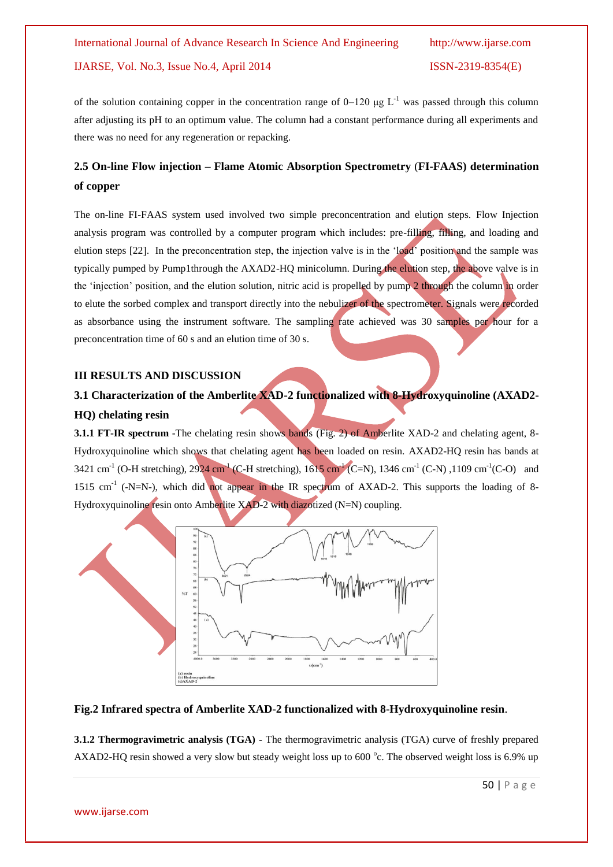of the solution containing copper in the concentration range of  $0-120 \mu g L^{-1}$  was passed through this column after adjusting its pH to an optimum value. The column had a constant performance during all experiments and there was no need for any regeneration or repacking.

## **2.5 On-line Flow injection – Flame Atomic Absorption Spectrometry** (**FI-FAAS) determination of copper**

The on-line FI-FAAS system used involved two simple preconcentration and elution steps. Flow Injection analysis program was controlled by a computer program which includes: pre-filling, filling, and loading and elution steps [22]. In the preconcentration step, the injection valve is in the 'load' position and the sample was typically pumped by Pump1through the AXAD2-HQ minicolumn. During the elution step, the above valve is in the 'injection' position, and the elution solution, nitric acid is propelled by pump 2 through the column in order to elute the sorbed complex and transport directly into the nebulizer of the spectrometer. Signals were recorded as absorbance using the instrument software. The sampling rate achieved was 30 samples per hour for a preconcentration time of 60 s and an elution time of 30 s.

#### **III RESULTS AND DISCUSSION**

## **3.1 Characterization of the Amberlite XAD-2 functionalized with 8-Hydroxyquinoline (AXAD2- HQ) chelating resin**

**3.1.1 FT-IR spectrum** -The chelating resin shows bands (Fig. 2) of Amberlite XAD-2 and chelating agent, 8-Hydroxyquinoline which shows that chelating agent has been loaded on resin. AXAD2-HQ resin has bands at 3421 cm<sup>-1</sup> (O-H stretching), 2924 cm<sup>-1</sup> (C-H stretching), 1615 cm<sup>-1</sup> (C=N), 1346 cm<sup>-1</sup> (C-N), 1109 cm<sup>-1</sup> (C-O) and 1515 cm<sup>-1</sup> (-N=N-), which did not appear in the IR spectrum of AXAD-2. This supports the loading of 8-Hydroxyquinoline resin onto Amberlite XAD-2 with diazotized (N=N) coupling.



### **Fig.2 Infrared spectra of Amberlite XAD-2 functionalized with 8-Hydroxyquinoline resin**.

**3.1.2 Thermogravimetric analysis (TGA) -** The thermogravimetric analysis (TGA) curve of freshly prepared AXAD2-HQ resin showed a very slow but steady weight loss up to  $600^{\circ}$ c. The observed weight loss is 6.9% up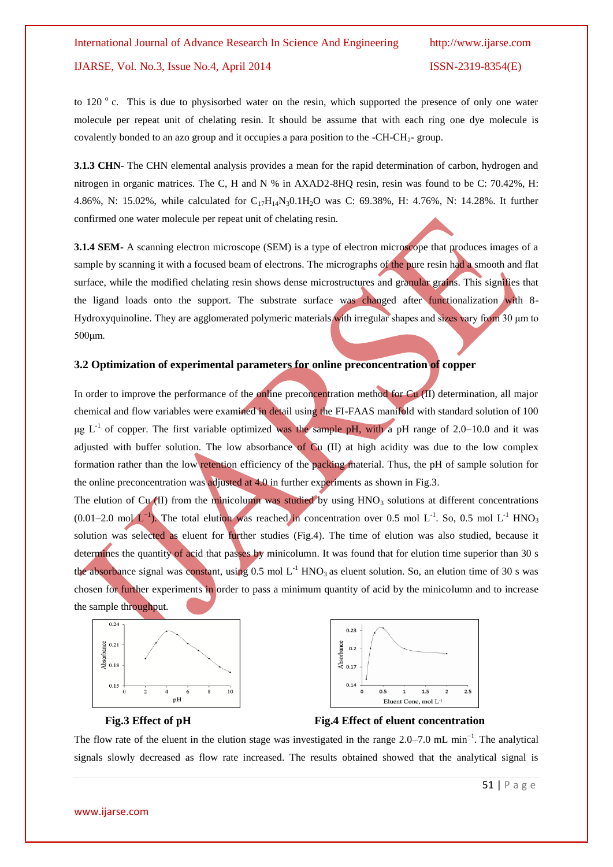to 120 ° c. This is due to physisorbed water on the resin, which supported the presence of only one water molecule per repeat unit of chelating resin. It should be assume that with each ring one dye molecule is covalently bonded to an azo group and it occupies a para position to the  $-CH-CH<sub>2</sub>$ - group.

**3.1.3 CHN-** The CHN elemental analysis provides a mean for the rapid determination of carbon, hydrogen and nitrogen in organic matrices. The C, H and N % in AXAD2-8HQ resin, resin was found to be C: 70.42%, H: 4.86%, N: 15.02%, while calculated for  $C_{17}H_{14}N_30.1H_2O$  was C: 69.38%, H: 4.76%, N: 14.28%. It further confirmed one water molecule per repeat unit of chelating resin.

**3.1.4 SEM-** A scanning electron microscope (SEM) is a type of electron microscope that produces images of a sample by scanning it with a focused beam of electrons. The micrographs of the pure resin had a smooth and flat surface, while the modified chelating resin shows dense microstructures and granular grains. This signifies that the ligand loads onto the support. The substrate surface was changed after functionalization with 8- Hydroxyquinoline. They are agglomerated polymeric materials with irregular shapes and sizes vary from 30 μm to 500μm.

#### **3.2 Optimization of experimental parameters for online preconcentration of copper**

In order to improve the performance of the online preconcentration method for Cu (II) determination, all major chemical and flow variables were examined in detail using the FI-FAAS manifold with standard solution of 100  $\mu$ g L<sup>-1</sup> of copper. The first variable optimized was the sample pH, with a pH range of 2.0–10.0 and it was adjusted with buffer solution. The low absorbance of  $Cu$  (II) at high acidity was due to the low complex formation rather than the low retention efficiency of the packing material. Thus, the pH of sample solution for the online preconcentration was adjusted at 4.0 in further experiments as shown in Fig.3.

The elution of Cu (II) from the minicolumn was studied by using  $HNO<sub>3</sub>$  solutions at different concentrations (0.01–2.0 mol  $L^{-1}$ ). The total elution was reached in concentration over 0.5 mol  $L^{-1}$ . So, 0.5 mol  $L^{-1}$  HNO<sub>3</sub> solution was selected as eluent for further studies (Fig.4). The time of elution was also studied, because it determines the quantity of acid that passes by minicolumn. It was found that for elution time superior than 30 s the absorbance signal was constant, using  $0.5 \text{ mol L}^{-1}$  HNO<sub>3</sub> as eluent solution. So, an elution time of 30 s was chosen for further experiments in order to pass a minimum quantity of acid by the minicolumn and to increase the sample throughput.





 **Fig.3 Effect of pH Fig.4 Effect of eluent concentration** 

The flow rate of the eluent in the elution stage was investigated in the range  $2.0-7.0$  mL min<sup>-1</sup>. The analytical signals slowly decreased as flow rate increased. The results obtained showed that the analytical signal is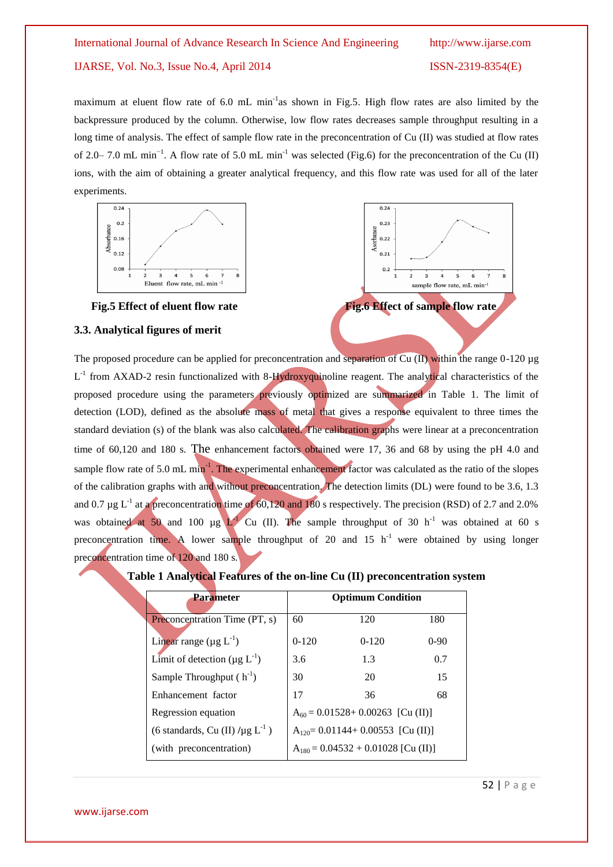## International Journal of Advance Research In Science And Engineering http://www.ijarse.com IJARSE, Vol. No.3, Issue No.4, April 2014 ISSN-2319-8354(E)

maximum at eluent flow rate of 6.0 mL min<sup>-1</sup>as shown in Fig.5. High flow rates are also limited by the backpressure produced by the column. Otherwise, low flow rates decreases sample throughput resulting in a long time of analysis. The effect of sample flow rate in the preconcentration of Cu (II) was studied at flow rates of 2.0–7.0 mL min<sup>-1</sup>. A flow rate of 5.0 mL min<sup>-1</sup> was selected (Fig.6) for the preconcentration of the Cu (II) ions, with the aim of obtaining a greater analytical frequency, and this flow rate was used for all of the later experiments.





#### **3.3. Analytical figures of merit**

The proposed procedure can be applied for preconcentration and separation of Cu (II) within the range 0-120 µg L<sup>-1</sup> from AXAD-2 resin functionalized with 8-Hydroxyquinoline reagent. The analytical characteristics of the proposed procedure using the parameters previously optimized are summarized in Table 1. The limit of detection (LOD), defined as the absolute mass of metal that gives a response equivalent to three times the standard deviation (s) of the blank was also calculated. The calibration graphs were linear at a preconcentration time of 60,120 and 180 s. The enhancement factors obtained were 17, 36 and 68 by using the pH 4.0 and sample flow rate of 5.0 mL min<sup>-1</sup>. The experimental enhancement factor was calculated as the ratio of the slopes of the calibration graphs with and without preconcentration. The detection limits (DL) were found to be 3.6, 1.3 and 0.7  $\mu$ g L<sup>-1</sup> at a preconcentration time of 60,120 and 180 s respectively. The precision (RSD) of 2.7 and 2.0% was obtained at 50 and 100 µg  $L^{1}$  Cu (II). The sample throughput of 30 h<sup>-1</sup> was obtained at 60 s preconcentration time. A lower sample throughput of 20 and 15  $h^{-1}$  were obtained by using longer preconcentration time of 120 and 180 s.

| <b>Parameter</b>                                 | <b>Optimum Condition</b>                |         |        |  |
|--------------------------------------------------|-----------------------------------------|---------|--------|--|
| Preconcentration Time (PT, s)                    | 60                                      | 120     | 180    |  |
| Linear range $(\mu g L^{-1})$                    | $0-120$                                 | $0-120$ | $0-90$ |  |
| Limit of detection ( $\mu$ g L <sup>-1</sup> )   | 3.6                                     | 1.3     | 0.7    |  |
| Sample Throughput $(h^{-1})$                     | 30                                      | 20      | 15     |  |
| Enhancement factor                               | 17                                      | 36      | 68     |  |
| Regression equation                              | $A_{60} = 0.01528 + 0.00263$ [Cu (II)]  |         |        |  |
| (6 standards, Cu (II) $/\mu$ g L <sup>-1</sup> ) | $A_{120} = 0.01144 + 0.00553$ [Cu (II)] |         |        |  |
| (with preconcentration)                          | $A_{180} = 0.04532 + 0.01028$ [Cu (II)] |         |        |  |

#### **Table 1 Analytical Features of the on-line Cu (II) preconcentration system**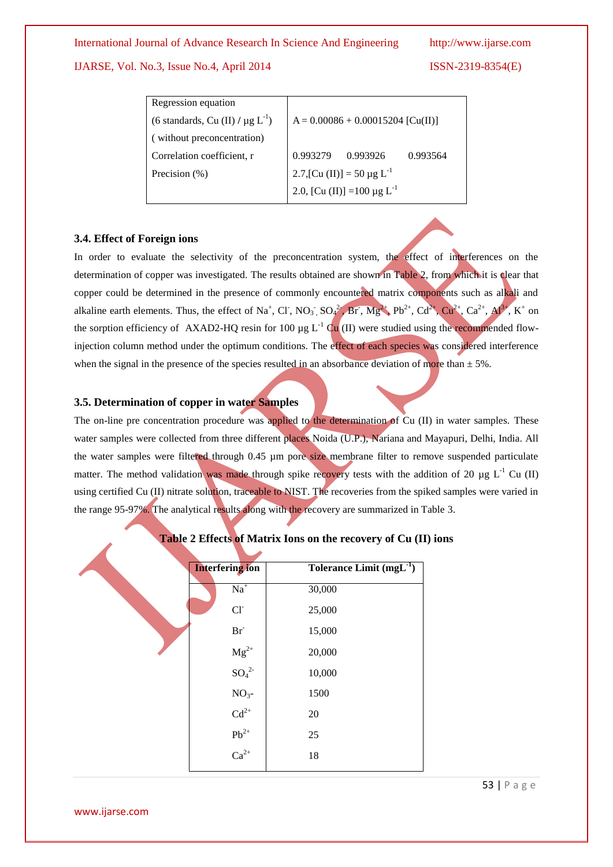#### IJARSE, Vol. No.3, Issue No.4, April 2014 ISSN-2319-8354(E)

| Regression equation                               |                                              |                                 |          |  |
|---------------------------------------------------|----------------------------------------------|---------------------------------|----------|--|
| (6 standards, Cu (II) / $\mu$ g L <sup>-1</sup> ) | $A = 0.00086 + 0.00015204$ [Cu(II)]          |                                 |          |  |
| (without preconcentration)                        |                                              |                                 |          |  |
| Correlation coefficient, r                        | 0.993279                                     | 0.993926                        | 0.993564 |  |
| Precision (%)                                     |                                              | 2.7, [Cu (II)] = 50 µg $L^{-1}$ |          |  |
|                                                   | 2.0, [Cu (II)] = 100 $\mu$ g L <sup>-1</sup> |                                 |          |  |

#### **3.4. Effect of Foreign ions**

In order to evaluate the selectivity of the preconcentration system, the effect of interferences on the determination of copper was investigated. The results obtained are shown in Table 2, from which it is clear that copper could be determined in the presence of commonly encountered matrix components such as alkali and alkaline earth elements. Thus, the effect of Na<sup>+</sup>, Cl<sup>-</sup>, NO<sub>3</sub>, SO<sub>4</sub><sup>2</sup>, Br<sup>-</sup>, Mg<sup>2+</sup>, Pb<sup>2+</sup>, Cd<sup>2+</sup>, Cu<sup>2+</sup>, Ca<sup>2+</sup>, Al<sup>3+</sup>, K<sup>+</sup> on the sorption efficiency of AXAD2-HQ resin for 100  $\mu$ g L<sup>-1</sup> Cu (II) were studied using the recommended flowinjection column method under the optimum conditions. The effect of each species was considered interference when the signal in the presence of the species resulted in an absorbance deviation of more than  $\pm$  5%.

#### **3.5. Determination of copper in water Samples**

The on-line pre concentration procedure was applied to the determination of Cu (II) in water samples. These water samples were collected from three different places Noida (U.P.), Nariana and Mayapuri, Delhi, India. All the water samples were filtered through 0.45 µm pore size membrane filter to remove suspended particulate matter. The method validation was made through spike recovery tests with the addition of 20  $\mu$ g L<sup>-1</sup> Cu (II) using certified Cu (II) nitrate solution, traceable to NIST. The recoveries from the spiked samples were varied in the range 95-97%. The analytical results along with the recovery are summarized in Table 3.

| <b>Interfering ion</b>                     | Tolerance Limit $(mgL^{-1})$ |
|--------------------------------------------|------------------------------|
| $Na+$                                      | 30,000                       |
| $Cl-$                                      | 25,000                       |
| $\mathbf{Br}^-$                            | 15,000                       |
|                                            | 20,000                       |
| ${ {\rm Mg}^{2+}}$<br>${ {\rm SO}_4}^{2-}$ | 10,000                       |
| $NO3$ -                                    | 1500                         |
|                                            | $20\,$                       |
| $Cd^{2+}$<br>$Pb^{2+}$<br>$Ca^{2+}$        | 25                           |
|                                            | 18                           |
|                                            |                              |

### **Table 2 Effects of Matrix Ions on the recovery of Cu (II) ions**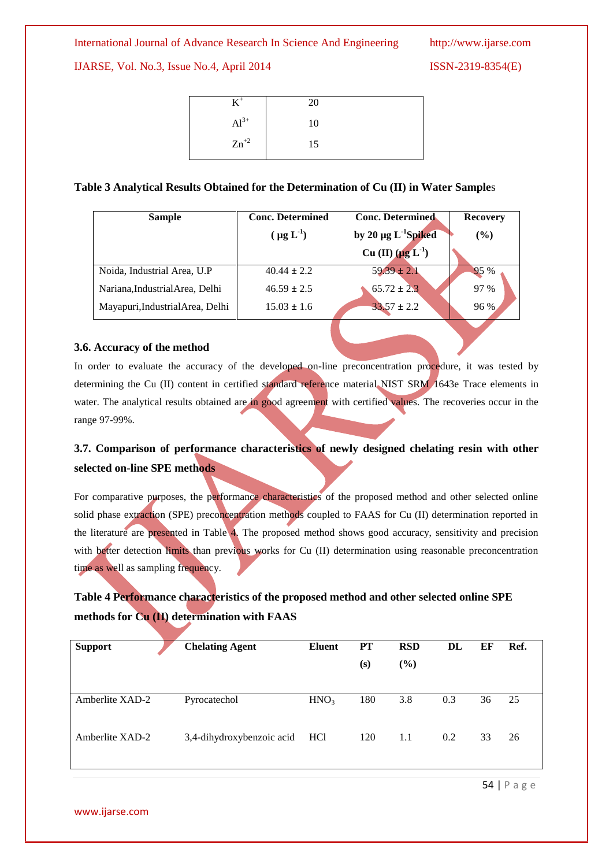#### IJARSE, Vol. No.3, Issue No.4, April 2014 ISSN-2319-8354(E)

|                 | 20 |  |
|-----------------|----|--|
| $Al^{3+}$<br>Γм | 10 |  |
| $Zn^{+2}$       | 15 |  |

#### **Table 3 Analytical Results Obtained for the Determination of Cu (II) in Water Sample**s

| <b>Sample</b>                    | <b>Conc. Determined</b> | <b>Conc. Determined</b>              | <b>Recovery</b> |  |  |
|----------------------------------|-------------------------|--------------------------------------|-----------------|--|--|
|                                  | $(\mu g L^{-1})$        | by 20 $\mu$ g L <sup>-1</sup> Spiked | $($ %)          |  |  |
|                                  |                         | Cu (II) $(\mu g L^{-1})$             |                 |  |  |
| Noida, Industrial Area, U.P      | $40.44 \pm 2.2$         | $59.39 \pm 2.1$                      | 95 %            |  |  |
| Nariana, Industrial Area, Delhi  | $46.59 \pm 2.5$         | $65.72 \pm 2.3$                      | 97 %            |  |  |
| Mayapuri, Industrial Area, Delhi | $15.03 \pm 1.6$         | $33.57 \pm 2.2$                      | 96 %            |  |  |

#### **3.6. Accuracy of the method**

In order to evaluate the accuracy of the developed on-line preconcentration procedure, it was tested by determining the Cu (II) content in certified standard reference material NIST SRM 1643e Trace elements in water. The analytical results obtained are in good agreement with certified values. The recoveries occur in the range 97-99%.

## **3.7. Comparison of performance characteristics of newly designed chelating resin with other selected on-line SPE methods**

For comparative purposes, the performance characteristics of the proposed method and other selected online solid phase extraction (SPE) preconcentration methods coupled to FAAS for Cu (II) determination reported in the literature are presented in Table 4. The proposed method shows good accuracy, sensitivity and precision with better detection limits than previous works for Cu (II) determination using reasonable preconcentration time as well as sampling frequency.

## **Table 4 Performance characteristics of the proposed method and other selected online SPE methods for Cu (II) determination with FAAS**

| <b>Support</b>  | <b>Chelating Agent</b>    | Eluent           | PT  | <b>RSD</b> | DL  | ЕF | Ref. |
|-----------------|---------------------------|------------------|-----|------------|-----|----|------|
|                 |                           |                  | (s) | $(\%)$     |     |    |      |
|                 |                           |                  |     |            |     |    |      |
| Amberlite XAD-2 | Pyrocatechol              | HNO <sub>3</sub> | 180 | 3.8        | 0.3 | 36 | 25   |
|                 |                           |                  |     |            |     |    |      |
| Amberlite XAD-2 | 3,4-dihydroxybenzoic acid | HCl              | 120 | 1.1        | 0.2 | 33 | 26   |
|                 |                           |                  |     |            |     |    |      |

54 | P a g e

www.ijarse.com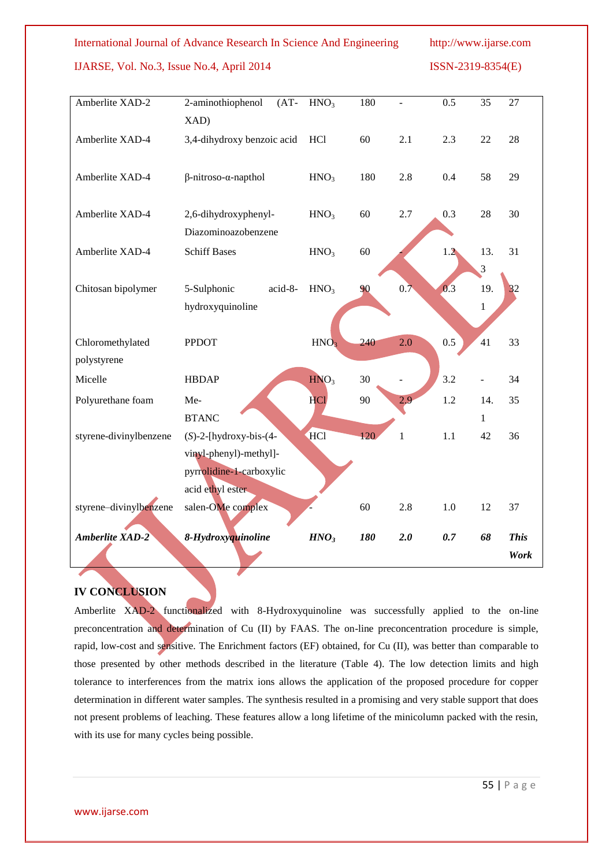#### IJARSE, Vol. No.3, Issue No.4, April 2014 ISSN-2319-8354(E)

| Amberlite XAD-2        | 2-aminothiophenol<br>$(AT-$         | HNO <sub>3</sub> | 180 |              | 0.5 | $\overline{35}$ | $\overline{27}$ |
|------------------------|-------------------------------------|------------------|-----|--------------|-----|-----------------|-----------------|
|                        | XAD)                                |                  |     |              |     |                 |                 |
| Amberlite XAD-4        | 3,4-dihydroxy benzoic acid          | HC <sub>1</sub>  | 60  | 2.1          | 2.3 | 22              | 28              |
|                        |                                     |                  |     |              |     |                 |                 |
| Amberlite XAD-4        | $\beta$ -nitroso- $\alpha$ -napthol | HNO <sub>3</sub> | 180 | 2.8          | 0.4 | 58              | 29              |
|                        |                                     |                  |     |              |     |                 |                 |
| Amberlite XAD-4        | 2,6-dihydroxyphenyl-                | HNO <sub>3</sub> | 60  | 2.7          | 0.3 | 28              | 30              |
|                        | Diazominoazobenzene                 |                  |     |              |     |                 |                 |
| Amberlite XAD-4        | <b>Schiff Bases</b>                 | HNO <sub>3</sub> | 60  |              | 1.2 | 13.             | 31              |
|                        |                                     |                  |     |              |     | 3               |                 |
| Chitosan bipolymer     | 5-Sulphonic<br>acid-8-              | HNO <sub>3</sub> | 90  | 0.7          | 0.3 | 19.             | 32              |
|                        | hydroxyquinoline                    |                  |     |              |     | $\mathbf{1}$    |                 |
|                        |                                     |                  |     |              |     |                 |                 |
| Chloromethylated       | <b>PPDOT</b>                        | HNO <sub>3</sub> | 240 | 2.0          | 0.5 | 41              | 33              |
| polystyrene            |                                     |                  |     |              |     |                 |                 |
| Micelle                | <b>HBDAP</b>                        | HNO <sub>3</sub> | 30  |              | 3.2 |                 | 34              |
| Polyurethane foam      | Me-                                 | <b>HCl</b>       | 90  | 2.9          | 1.2 | 14.             | 35              |
|                        | <b>BTANC</b>                        |                  |     |              |     | 1               |                 |
| styrene-divinylbenzene | $(S)$ -2-[hydroxy-bis- $(4-$        | HCl              | 120 | $\mathbf{1}$ | 1.1 | 42              | 36              |
|                        | vinyl-phenyl)-methyl]-              |                  |     |              |     |                 |                 |
|                        | pyrrolidine-1-carboxylic            |                  |     |              |     |                 |                 |
|                        | acid ethyl ester                    |                  |     |              |     |                 |                 |
| styrene-divinylbenzene | salen-OMe complex                   |                  | 60  | 2.8          | 1.0 | 12              | 37              |
| <b>Amberlite XAD-2</b> | 8-Hydroxyquinoline                  | HNO <sub>3</sub> | 180 | 2.0          | 0.7 | 68              | <b>This</b>     |
|                        |                                     |                  |     |              |     |                 | Work            |
|                        |                                     |                  |     |              |     |                 |                 |

### **IV CONCLUSION**

Amberlite XAD-2 functionalized with 8-Hydroxyquinoline was successfully applied to the on-line preconcentration and determination of Cu (II) by FAAS. The on-line preconcentration procedure is simple, rapid, low-cost and sensitive. The Enrichment factors (EF) obtained, for Cu (II), was better than comparable to those presented by other methods described in the literature (Table 4). The low detection limits and high tolerance to interferences from the matrix ions allows the application of the proposed procedure for copper determination in different water samples. The synthesis resulted in a promising and very stable support that does not present problems of leaching. These features allow a long lifetime of the minicolumn packed with the resin, with its use for many cycles being possible.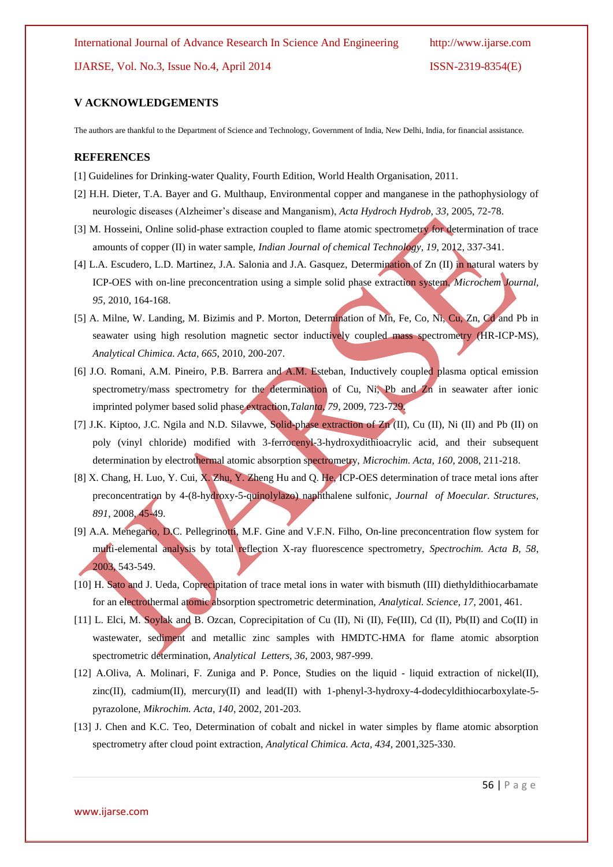IJARSE, Vol. No.3, Issue No.4, April 2014 ISSN-2319-8354(E)

### **V ACKNOWLEDGEMENTS**

The authors are thankful to the Department of Science and Technology, Government of India, New Delhi, India, for financial assistance.

#### **REFERENCES**

- [1] Guidelines for Drinking-water Quality, Fourth Edition, World Health Organisation, 2011.
- [2] H.H. Dieter, T.A. Bayer and G. Multhaup, Environmental copper and manganese in the pathophysiology of neurologic diseases (Alzheimer's disease and Manganism), *Acta Hydroch Hydrob, 33*, 2005, 72-78.
- [3] M. Hosseini, Online solid-phase extraction coupled to flame atomic spectrometry for determination of trace amounts of copper (II) in water sample, *Indian Journal of chemical Technology, 19*, 2012, 337-341.
- [4] L.A. Escudero, L.D. Martinez, J.A. Salonia and J.A. Gasquez, Determination of Zn (II) in natural waters by ICP-OES with on-line preconcentration using a simple solid phase extraction system, *Microchem Journal, 95*, 2010, 164-168.
- [5] A. Milne, W. Landing, M. Bizimis and P. Morton, Determination of Mn, Fe, Co, Ni, Cu, Zn, Cd and Pb in seawater using high resolution magnetic sector inductively coupled mass spectrometry (HR-ICP-MS), *Analytical Chimica. Acta, 665*, 2010, 200-207.
- [6] J.O. Romani, A.M. Pineiro, P.B. Barrera and A.M. Esteban, Inductively coupled plasma optical emission spectrometry/mass spectrometry for the determination of Cu, Ni, Pb and Z<sub>n</sub> in seawater after ionic imprinted polymer based solid phase extraction,*Talanta, 79*, 2009, 723-729.
- [7] J.K. Kiptoo, J.C. Ngila and N.D. Silavwe, Solid-phase extraction of Zn (II), Cu (II), Ni (II) and Pb (II) on poly (vinyl chloride) modified with 3-ferrocenyl-3-hydroxydithioacrylic acid, and their subsequent determination by electrothermal atomic absorption spectrometry, *Microchim. Acta, 160*, 2008, 211-218.
- [8] X. Chang, H. Luo, Y. Cui, X. Zhu, Y. Zheng Hu and Q. He, ICP-OES determination of trace metal ions after preconcentration by 4-(8-hydroxy-5-quinolylazo) naphthalene sulfonic, *Journal of Moecular. Structures, 891*, 2008, 45-49.
- [9] A.A. Menegario, D.C. Pellegrinotti, M.F. Gine and V.F.N. Filho, On-line preconcentration flow system for multi-elemental analysis by total reflection X-ray fluorescence spectrometry, *Spectrochim. Acta B, 58*, 2003, 543-549.
- [10] H. Sato and J. Ueda, Coprecipitation of trace metal ions in water with bismuth (III) diethyldithiocarbamate for an electrothermal atomic absorption spectrometric determination, *Analytical. Science, 17*, 2001, 461.
- [11] L. Elci, M. Soylak and B. Ozcan, Coprecipitation of Cu (II), Ni (II), Fe(III), Cd (II), Pb(II) and Co(II) in wastewater, sediment and metallic zinc samples with HMDTC-HMA for flame atomic absorption spectrometric determination, *Analytical Letters, 36*, 2003, 987-999.
- [12] A.Oliva, A. Molinari, F. Zuniga and P. Ponce, Studies on the liquid liquid extraction of nickel(II), zinc(II), cadmium(II), mercury(II) and lead(II) with 1-phenyl-3-hydroxy-4-dodecyldithiocarboxylate-5 pyrazolone, *Mikrochim. Acta, 140*, 2002, 201-203.
- [13] J. Chen and K.C. Teo, Determination of cobalt and nickel in water simples by flame atomic absorption spectrometry after cloud point extraction, *Analytical Chimica. Acta, 434*, 2001,325-330.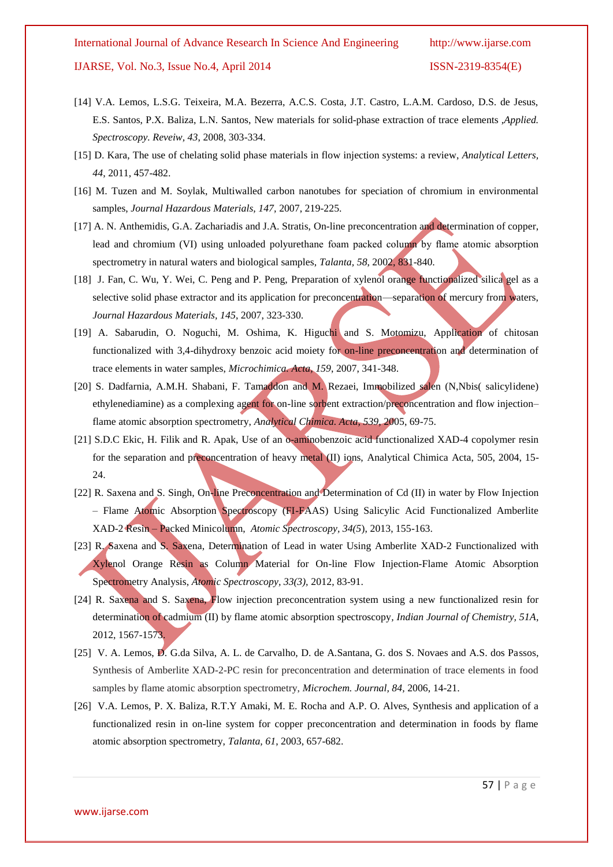- [14] V.A. Lemos, L.S.G. Teixeira, M.A. Bezerra, A.C.S. Costa, J.T. Castro, L.A.M. Cardoso, D.S. de Jesus, E.S. Santos, P.X. Baliza, L.N. Santos, New materials for solid-phase extraction of trace elements ,*Applied. Spectroscopy. Reveiw, 43*, 2008, 303-334.
- [15] D. Kara, The use of chelating solid phase materials in flow injection systems: a review, *Analytical Letters, 44*, 2011, 457-482.
- [16] M. Tuzen and M. Soylak, Multiwalled carbon nanotubes for speciation of chromium in environmental samples, *Journal Hazardous Materials, 147,* 2007, 219-225.
- [17] A. N. Anthemidis, G.A. Zachariadis and J.A. Stratis, On-line preconcentration and determination of copper, lead and chromium (VI) using unloaded polyurethane foam packed column by flame atomic absorption spectrometry in natural waters and biological samples, *Talanta, 58*, 2002, 831-840.
- [18] J. Fan, C. Wu, Y. Wei, C. Peng and P. Peng, Preparation of xylenol orange functionalized silica gel as a selective solid phase extractor and its application for preconcentration—separation of mercury from waters, *Journal Hazardous Materials, 145*, 2007, 323-330.
- [19] A. Sabarudin, O. Noguchi, M. Oshima, K. Higuchi and S. Motomizu, Application of chitosan functionalized with 3,4-dihydroxy benzoic acid moiety for on-line preconcentration and determination of trace elements in water samples, *Microchimica. Acta, 159*, 2007, 341-348.
- [20] S. Dadfarnia, A.M.H. Shabani, F. Tamaddon and M. Rezaei, Immobilized salen (N,Nbis( salicylidene) ethylenediamine) as a complexing agent for on-line sorbent extraction/preconcentration and flow injection– flame atomic absorption spectrometry, *Analytical Chimica. Acta, 539*, 2005, 69-75.
- [21] S.D.C Ekic, H. Filik and R. Apak, Use of an o-aminobenzoic acid functionalized XAD-4 copolymer resin for the separation and preconcentration of heavy metal (II) ions, Analytical Chimica Acta, 505, 2004, 15-24.
- [22] R. Saxena and S. Singh, On-line Preconcentration and Determination of Cd (II) in water by Flow Injection – Flame Atomic Absorption Spectroscopy (FI-FAAS) Using Salicylic Acid Functionalized Amberlite XAD-2 Resin – Packed Minicolumn, *Atomic Spectroscopy, 34(5*), 2013, 155-163.
- [23] R. Saxena and S. Saxena, Determination of Lead in water Using Amberlite XAD-2 Functionalized with Xylenol Orange Resin as Column Material for On-line Flow Injection-Flame Atomic Absorption Spectrometry Analysis, *Atomic Spectroscopy, 33(3),* 2012, 83-91.
- [24] R. Saxena and S. Saxena, Flow injection preconcentration system using a new functionalized resin for determination of cadmium (II) by flame atomic absorption spectroscopy*, Indian Journal of Chemistry, 51A*, 2012, 1567-1573.
- [25] V. A. Lemos, D. G.da Silva, A. L. de Carvalho, D. de A.Santana, G. dos S. Novaes and A.S. dos Passos, Synthesis of Amberlite XAD-2-PC resin for preconcentration and determination of trace elements in food samples by flame atomic absorption spectrometry, *Microchem. Journal, 84,* 2006, 14-21.
- [26] V.A. Lemos, P. X. Baliza, R.T.Y Amaki, M. E. Rocha and A.P. O. Alves, Synthesis and application of a functionalized resin in on-line system for copper preconcentration and determination in foods by flame atomic absorption spectrometry, *Talanta, 61*, 2003, 657-682.